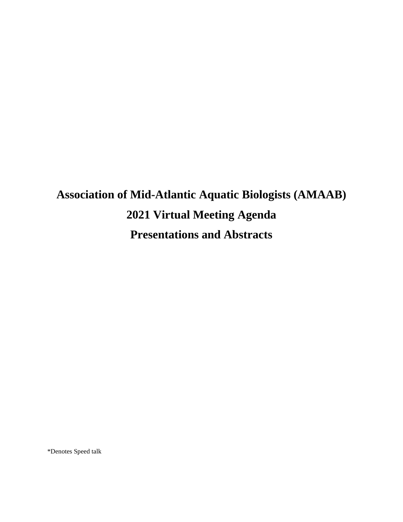# **Association of Mid-Atlantic Aquatic Biologists (AMAAB) 2021 Virtual Meeting Agenda Presentations and Abstracts**

\*Denotes Speed talk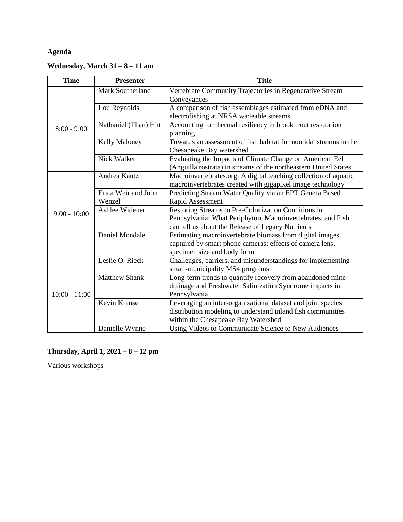# **Agenda**

# **Wednesday, March 31 – 8 – 11 am**

| <b>Time</b>     | <b>Presenter</b>              | <b>Title</b>                                                                                                                                                            |
|-----------------|-------------------------------|-------------------------------------------------------------------------------------------------------------------------------------------------------------------------|
| $8:00 - 9:00$   | Mark Southerland              | Vertebrate Community Trajectories in Regenerative Stream<br>Conveyances                                                                                                 |
|                 | Lou Reynolds                  | A comparison of fish assemblages estimated from eDNA and<br>electrofishing at NRSA wadeable streams                                                                     |
|                 | Nathaniel (Than) Hitt         | Accounting for thermal resiliency in brook trout restoration<br>planning                                                                                                |
|                 | Kelly Maloney                 | Towards an assessment of fish habitat for nontidal streams in the<br>Chesapeake Bay watershed                                                                           |
|                 | Nick Walker                   | Evaluating the Impacts of Climate Change on American Eel<br>(Anguilla rostrata) in streams of the northeastern United States                                            |
| $9:00 - 10:00$  | Andrea Kautz                  | Macroinvertebrates.org: A digital teaching collection of aquatic<br>macroinvertebrates created with gigapixel image technology                                          |
|                 | Erica Weir and John<br>Wenzel | Predicting Stream Water Quality via an EPT Genera Based<br>Rapid Assessment                                                                                             |
|                 | Ashlee Widener                | Restoring Streams to Pre-Colonization Conditions in<br>Pennsylvania: What Periphyton, Macroinvertebrates, and Fish<br>can tell us about the Release of Legacy Nutrients |
|                 | Daniel Mondale                | Estimating macroinvertebrate biomass from digital images<br>captured by smart phone cameras: effects of camera lens,<br>specimen size and body form                     |
| $10:00 - 11:00$ | Leslie O. Rieck               | Challenges, barriers, and misunderstandings for implementing<br>small-municipality MS4 programs                                                                         |
|                 | <b>Matthew Shank</b>          | Long-term trends to quantify recovery from abandoned mine<br>drainage and Freshwater Salinization Syndrome impacts in<br>Pennsylvania.                                  |
|                 | Kevin Krause                  | Leveraging an inter-organizational dataset and joint species<br>distribution modeling to understand inland fish communities<br>within the Chesapeake Bay Watershed      |
|                 | Danielle Wynne                | Using Videos to Communicate Science to New Audiences                                                                                                                    |

# **Thursday, April 1, 2021 – 8 – 12 pm**

Various workshops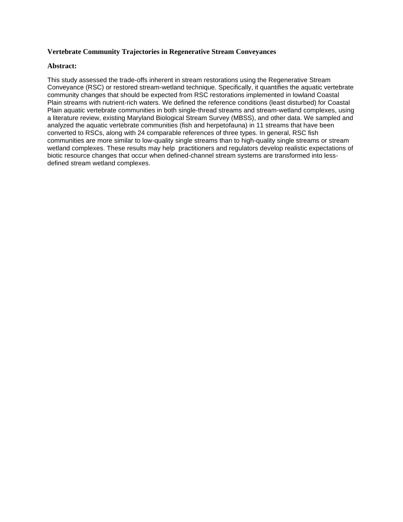#### **Vertebrate Community Trajectories in Regenerative Stream Conveyances**

#### **Abstract:**

This study assessed the trade-offs inherent in stream restorations using the Regenerative Stream Conveyance (RSC) or restored stream-wetland technique. Specifically, it quantifies the aquatic vertebrate community changes that should be expected from RSC restorations implemented in lowland Coastal Plain streams with nutrient-rich waters. We defined the reference conditions (least disturbed) for Coastal Plain aquatic vertebrate communities in both single-thread streams and stream-wetland complexes, using a literature review, existing Maryland Biological Stream Survey (MBSS), and other data. We sampled and analyzed the aquatic vertebrate communities (fish and herpetofauna) in 11 streams that have been converted to RSCs, along with 24 comparable references of three types. In general, RSC fish communities are more similar to low-quality single streams than to high-quality single streams or stream wetland complexes. These results may help practitioners and regulators develop realistic expectations of biotic resource changes that occur when defined-channel stream systems are transformed into lessdefined stream wetland complexes.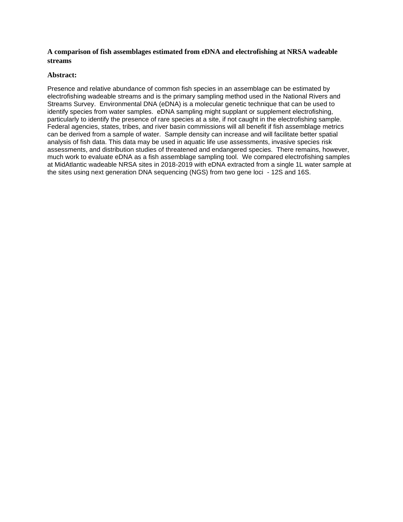#### **A comparison of fish assemblages estimated from eDNA and electrofishing at NRSA wadeable streams**

#### **Abstract:**

Presence and relative abundance of common fish species in an assemblage can be estimated by electrofishing wadeable streams and is the primary sampling method used in the National Rivers and Streams Survey. Environmental DNA (eDNA) is a molecular genetic technique that can be used to identify species from water samples. eDNA sampling might supplant or supplement electrofishing, particularly to identify the presence of rare species at a site, if not caught in the electrofishing sample. Federal agencies, states, tribes, and river basin commissions will all benefit if fish assemblage metrics can be derived from a sample of water. Sample density can increase and will facilitate better spatial analysis of fish data. This data may be used in aquatic life use assessments, invasive species risk assessments, and distribution studies of threatened and endangered species. There remains, however, much work to evaluate eDNA as a fish assemblage sampling tool. We compared electrofishing samples at MidAtlantic wadeable NRSA sites in 2018-2019 with eDNA extracted from a single 1L water sample at the sites using next generation DNA sequencing (NGS) from two gene loci - 12S and 16S.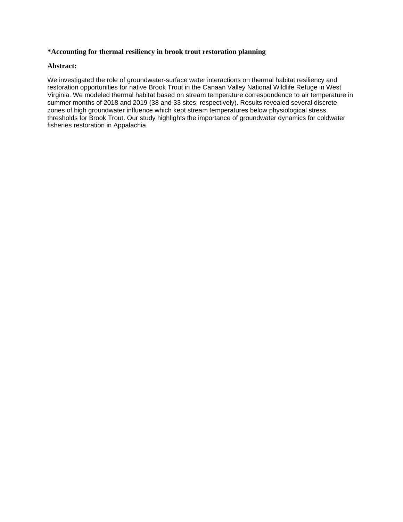#### **\*Accounting for thermal resiliency in brook trout restoration planning**

#### **Abstract:**

We investigated the role of groundwater-surface water interactions on thermal habitat resiliency and restoration opportunities for native Brook Trout in the Canaan Valley National Wildlife Refuge in West Virginia. We modeled thermal habitat based on stream temperature correspondence to air temperature in summer months of 2018 and 2019 (38 and 33 sites, respectively). Results revealed several discrete zones of high groundwater influence which kept stream temperatures below physiological stress thresholds for Brook Trout. Our study highlights the importance of groundwater dynamics for coldwater fisheries restoration in Appalachia.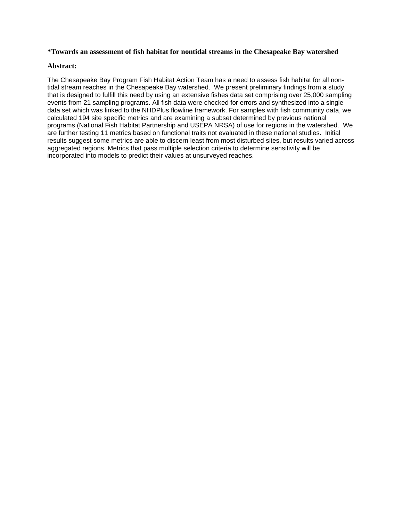#### **\*Towards an assessment of fish habitat for nontidal streams in the Chesapeake Bay watershed**

#### **Abstract:**

The Chesapeake Bay Program Fish Habitat Action Team has a need to assess fish habitat for all nontidal stream reaches in the Chesapeake Bay watershed. We present preliminary findings from a study that is designed to fulfill this need by using an extensive fishes data set comprising over 25,000 sampling events from 21 sampling programs. All fish data were checked for errors and synthesized into a single data set which was linked to the NHDPlus flowline framework. For samples with fish community data, we calculated 194 site specific metrics and are examining a subset determined by previous national programs (National Fish Habitat Partnership and USEPA NRSA) of use for regions in the watershed. We are further testing 11 metrics based on functional traits not evaluated in these national studies. Initial results suggest some metrics are able to discern least from most disturbed sites, but results varied across aggregated regions. Metrics that pass multiple selection criteria to determine sensitivity will be incorporated into models to predict their values at unsurveyed reaches.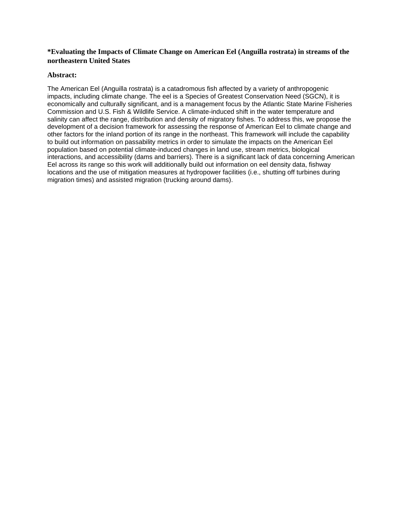## **\*Evaluating the Impacts of Climate Change on American Eel (Anguilla rostrata) in streams of the northeastern United States**

#### **Abstract:**

The American Eel (Anguilla rostrata) is a catadromous fish affected by a variety of anthropogenic impacts, including climate change. The eel is a Species of Greatest Conservation Need (SGCN), it is economically and culturally significant, and is a management focus by the Atlantic State Marine Fisheries Commission and U.S. Fish & Wildlife Service. A climate-induced shift in the water temperature and salinity can affect the range, distribution and density of migratory fishes. To address this, we propose the development of a decision framework for assessing the response of American Eel to climate change and other factors for the inland portion of its range in the northeast. This framework will include the capability to build out information on passability metrics in order to simulate the impacts on the American Eel population based on potential climate-induced changes in land use, stream metrics, biological interactions, and accessibility (dams and barriers). There is a significant lack of data concerning American Eel across its range so this work will additionally build out information on eel density data, fishway locations and the use of mitigation measures at hydropower facilities (i.e., shutting off turbines during migration times) and assisted migration (trucking around dams).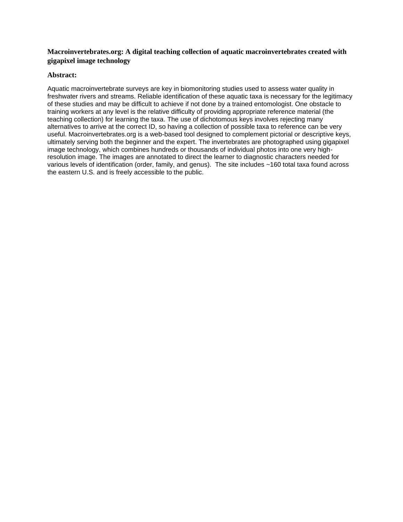# **Macroinvertebrates.org: A digital teaching collection of aquatic macroinvertebrates created with gigapixel image technology**

#### **Abstract:**

Aquatic macroinvertebrate surveys are key in biomonitoring studies used to assess water quality in freshwater rivers and streams. Reliable identification of these aquatic taxa is necessary for the legitimacy of these studies and may be difficult to achieve if not done by a trained entomologist. One obstacle to training workers at any level is the relative difficulty of providing appropriate reference material (the teaching collection) for learning the taxa. The use of dichotomous keys involves rejecting many alternatives to arrive at the correct ID, so having a collection of possible taxa to reference can be very useful. Macroinvertebrates.org is a web-based tool designed to complement pictorial or descriptive keys, ultimately serving both the beginner and the expert. The invertebrates are photographed using gigapixel image technology, which combines hundreds or thousands of individual photos into one very highresolution image. The images are annotated to direct the learner to diagnostic characters needed for various levels of identification (order, family, and genus). The site includes ~160 total taxa found across the eastern U.S. and is freely accessible to the public.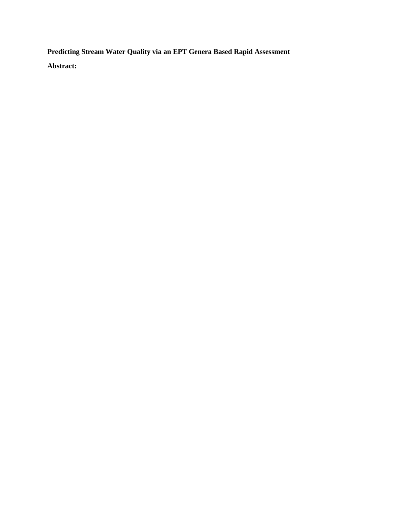**Predicting Stream Water Quality via an EPT Genera Based Rapid Assessment** 

**Abstract:**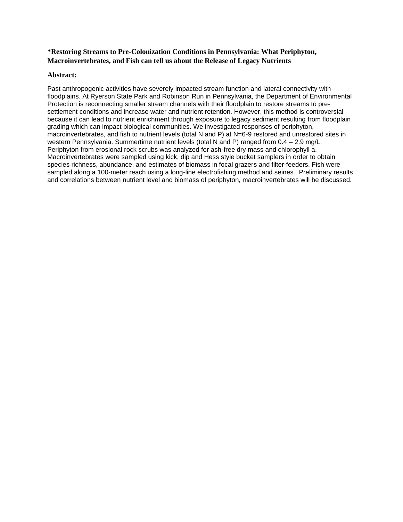# **\*Restoring Streams to Pre-Colonization Conditions in Pennsylvania: What Periphyton, Macroinvertebrates, and Fish can tell us about the Release of Legacy Nutrients**

#### **Abstract:**

Past anthropogenic activities have severely impacted stream function and lateral connectivity with floodplains. At Ryerson State Park and Robinson Run in Pennsylvania, the Department of Environmental Protection is reconnecting smaller stream channels with their floodplain to restore streams to presettlement conditions and increase water and nutrient retention. However, this method is controversial because it can lead to nutrient enrichment through exposure to legacy sediment resulting from floodplain grading which can impact biological communities. We investigated responses of periphyton, macroinvertebrates, and fish to nutrient levels (total N and P) at N=6-9 restored and unrestored sites in western Pennsylvania. Summertime nutrient levels (total N and P) ranged from 0.4 – 2.9 mg/L. Periphyton from erosional rock scrubs was analyzed for ash-free dry mass and chlorophyll a. Macroinvertebrates were sampled using kick, dip and Hess style bucket samplers in order to obtain species richness, abundance, and estimates of biomass in focal grazers and filter-feeders. Fish were sampled along a 100-meter reach using a long-line electrofishing method and seines. Preliminary results and correlations between nutrient level and biomass of periphyton, macroinvertebrates will be discussed.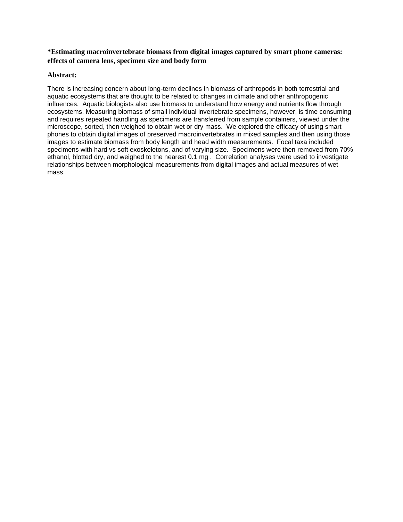# **\*Estimating macroinvertebrate biomass from digital images captured by smart phone cameras: effects of camera lens, specimen size and body form**

#### **Abstract:**

There is increasing concern about long-term declines in biomass of arthropods in both terrestrial and aquatic ecosystems that are thought to be related to changes in climate and other anthropogenic influences. Aquatic biologists also use biomass to understand how energy and nutrients flow through ecosystems. Measuring biomass of small individual invertebrate specimens, however, is time consuming and requires repeated handling as specimens are transferred from sample containers, viewed under the microscope, sorted, then weighed to obtain wet or dry mass. We explored the efficacy of using smart phones to obtain digital images of preserved macroinvertebrates in mixed samples and then using those images to estimate biomass from body length and head width measurements. Focal taxa included specimens with hard vs soft exoskeletons, and of varying size. Specimens were then removed from 70% ethanol, blotted dry, and weighed to the nearest 0.1 mg . Correlation analyses were used to investigate relationships between morphological measurements from digital images and actual measures of wet mass.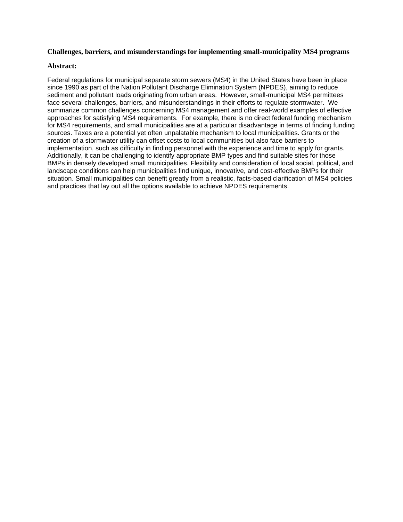#### **Challenges, barriers, and misunderstandings for implementing small-municipality MS4 programs**

#### **Abstract:**

Federal regulations for municipal separate storm sewers (MS4) in the United States have been in place since 1990 as part of the Nation Pollutant Discharge Elimination System (NPDES), aiming to reduce sediment and pollutant loads originating from urban areas. However, small-municipal MS4 permittees face several challenges, barriers, and misunderstandings in their efforts to regulate stormwater. We summarize common challenges concerning MS4 management and offer real-world examples of effective approaches for satisfying MS4 requirements. For example, there is no direct federal funding mechanism for MS4 requirements, and small municipalities are at a particular disadvantage in terms of finding funding sources. Taxes are a potential yet often unpalatable mechanism to local municipalities. Grants or the creation of a stormwater utility can offset costs to local communities but also face barriers to implementation, such as difficulty in finding personnel with the experience and time to apply for grants. Additionally, it can be challenging to identify appropriate BMP types and find suitable sites for those BMPs in densely developed small municipalities. Flexibility and consideration of local social, political, and landscape conditions can help municipalities find unique, innovative, and cost-effective BMPs for their situation. Small municipalities can benefit greatly from a realistic, facts-based clarification of MS4 policies and practices that lay out all the options available to achieve NPDES requirements.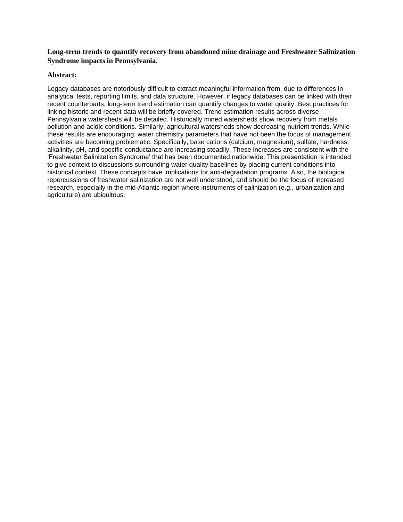# **Long-term trends to quantify recovery from abandoned mine drainage and Freshwater Salinization Syndrome impacts in Pennsylvania.**

#### **Abstract:**

Legacy databases are notoriously difficult to extract meaningful information from, due to differences in analytical tests, reporting limits, and data structure. However, if legacy databases can be linked with their recent counterparts, long-term trend estimation can quantify changes to water quality. Best practices for linking historic and recent data will be briefly covered. Trend estimation results across diverse Pennsylvania watersheds will be detailed. Historically mined watersheds show recovery from metals pollution and acidic conditions. Similarly, agricultural watersheds show decreasing nutrient trends. While these results are encouraging, water chemistry parameters that have not been the focus of management activities are becoming problematic. Specifically, base cations (calcium, magnesium), sulfate, hardness, alkalinity, pH, and specific conductance are increasing steadily. These increases are consistent with the 'Freshwater Salinization Syndrome' that has been documented nationwide. This presentation is intended to give context to discussions surrounding water quality baselines by placing current conditions into historical context. These concepts have implications for anti-degradation programs. Also, the biological repercussions of freshwater salinization are not well understood, and should be the focus of increased research, especially in the mid-Atlantic region where instruments of salinization (e.g., urbanization and agriculture) are ubiquitous.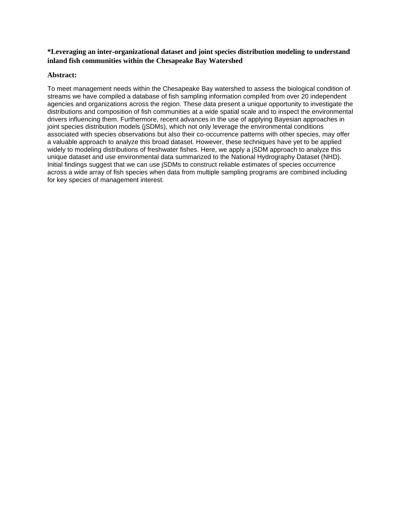# **\*Leveraging an inter-organizational dataset and joint species distribution modeling to understand inland fish communities within the Chesapeake Bay Watershed**

#### **Abstract:**

To meet management needs within the Chesapeake Bay watershed to assess the biological condition of streams we have compiled a database of fish sampling information compiled from over 20 independent agencies and organizations across the region. These data present a unique opportunity to investigate the distributions and composition of fish communities at a wide spatial scale and to inspect the environmental drivers influencing them. Furthermore, recent advances in the use of applying Bayesian approaches in joint species distribution models (jSDMs), which not only leverage the environmental conditions associated with species observations but also their co-occurrence patterns with other species, may offer a valuable approach to analyze this broad dataset. However, these techniques have yet to be applied widely to modeling distributions of freshwater fishes. Here, we apply a jSDM approach to analyze this unique dataset and use environmental data summarized to the National Hydrography Dataset (NHD). Initial findings suggest that we can use jSDMs to construct reliable estimates of species occurrence across a wide array of fish species when data from multiple sampling programs are combined including for key species of management interest.